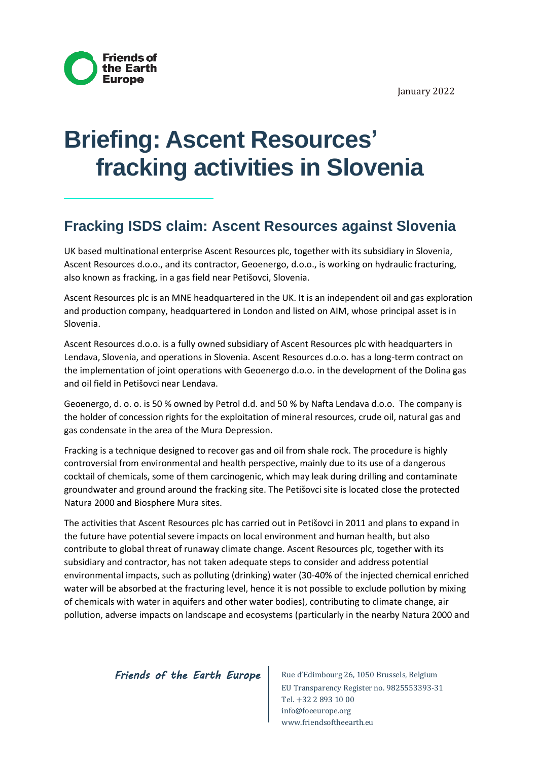January 2022



# **Briefing: Ascent Resources' fracking activities in Slovenia**

## **Fracking ISDS claim: Ascent Resources against Slovenia**

UK based multinational enterprise Ascent Resources plc, together with its subsidiary in Slovenia, Ascent Resources d.o.o., and its contractor, Geoenergo, d.o.o., is working on hydraulic fracturing, also known as fracking, in a gas field near Petišovci, Slovenia.

Ascent Resources plc is an MNE headquartered in the UK. It is an independent oil and gas exploration and production company, headquartered in London and listed on AIM, whose principal asset is in Slovenia.

Ascent Resources d.o.o. is a fully owned subsidiary of Ascent Resources plc with headquarters in Lendava, Slovenia, and operations in Slovenia. Ascent Resources d.o.o. has a long-term contract on the implementation of joint operations with Geoenergo d.o.o. in the development of the Dolina gas and oil field in Petišovci near Lendava.

Geoenergo, d. o. o. is 50 % owned by Petrol d.d. and 50 % by Nafta Lendava d.o.o. The company is the holder of concession rights for the exploitation of mineral resources, crude oil, natural gas and gas condensate in the area of the Mura Depression.

Fracking is a technique designed to recover gas and oil from shale rock. The procedure is highly controversial from environmental and health perspective, mainly due to its use of a dangerous cocktail of chemicals, some of them carcinogenic, which may leak during drilling and contaminate groundwater and ground around the fracking site. The Petišovci site is located close the protected Natura 2000 and Biosphere Mura sites.

The activities that Ascent Resources plc has carried out in Petišovci in 2011 and plans to expand in the future have potential severe impacts on local environment and human health, but also contribute to global threat of runaway climate change. Ascent Resources plc, together with its subsidiary and contractor, has not taken adequate steps to consider and address potential environmental impacts, such as polluting (drinking) water (30-40% of the injected chemical enriched water will be absorbed at the fracturing level, hence it is not possible to exclude pollution by mixing of chemicals with water in aquifers and other water bodies), contributing to climate change, air pollution, adverse impacts on landscape and ecosystems (particularly in the nearby Natura 2000 and

#### *Friends of the Earth Europe* Rue d'Edimbourg 26, 1050 Brussels, Belgium

EU Transparency Register no. 9825553393-31 Tel. +32 2 893 10 00 info@foeeurope.org www.friendsoftheearth.eu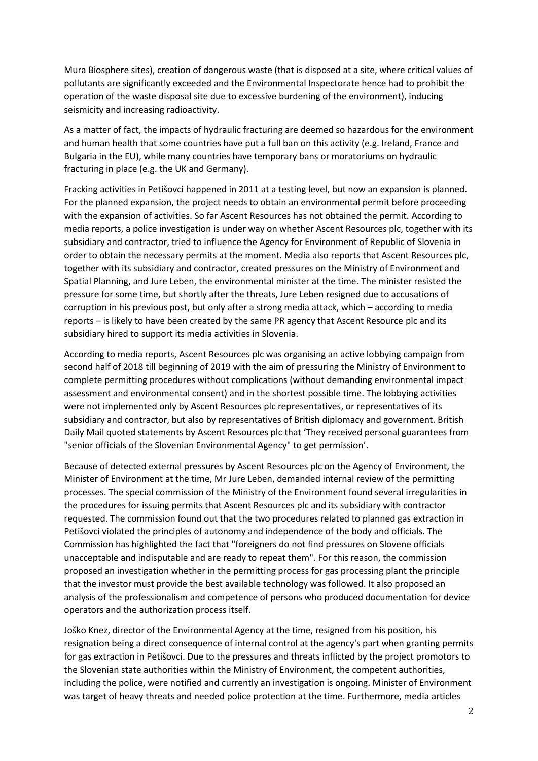Mura Biosphere sites), creation of dangerous waste (that is disposed at a site, where critical values of pollutants are significantly exceeded and the Environmental Inspectorate hence had to prohibit the operation of the waste disposal site due to excessive burdening of the environment), inducing seismicity and increasing radioactivity.

As a matter of fact, the impacts of hydraulic fracturing are deemed so hazardous for the environment and human health that some countries have put a full ban on this activity (e.g. Ireland, France and Bulgaria in the EU), while many countries have temporary bans or moratoriums on hydraulic fracturing in place (e.g. the UK and Germany).

Fracking activities in Petišovci happened in 2011 at a testing level, but now an expansion is planned. For the planned expansion, the project needs to obtain an environmental permit before proceeding with the expansion of activities. So far Ascent Resources has not obtained the permit. According to media reports, a police investigation is under way on whether Ascent Resources plc, together with its subsidiary and contractor, tried to influence the Agency for Environment of Republic of Slovenia in order to obtain the necessary permits at the moment. Media also reports that Ascent Resources plc, together with its subsidiary and contractor, created pressures on the Ministry of Environment and Spatial Planning, and Jure Leben, the environmental minister at the time. The minister resisted the pressure for some time, but shortly after the threats, Jure Leben resigned due to accusations of corruption in his previous post, but only after a strong media attack, which – according to media reports – is likely to have been created by the same PR agency that Ascent Resource plc and its subsidiary hired to support its media activities in Slovenia.

According to media reports, Ascent Resources plc was organising an active lobbying campaign from second half of 2018 till beginning of 2019 with the aim of pressuring the Ministry of Environment to complete permitting procedures without complications (without demanding environmental impact assessment and environmental consent) and in the shortest possible time. The lobbying activities were not implemented only by Ascent Resources plc representatives, or representatives of its subsidiary and contractor, but also by representatives of British diplomacy and government. British Daily Mail quoted statements by Ascent Resources plc that 'They received personal guarantees from "senior officials of the Slovenian Environmental Agency" to get permission'.

Because of detected external pressures by Ascent Resources plc on the Agency of Environment, the Minister of Environment at the time, Mr Jure Leben, demanded internal review of the permitting processes. The special commission of the Ministry of the Environment found several irregularities in the procedures for issuing permits that Ascent Resources plc and its subsidiary with contractor requested. The commission found out that the two procedures related to planned gas extraction in Petišovci violated the principles of autonomy and independence of the body and officials. The Commission has highlighted the fact that "foreigners do not find pressures on Slovene officials unacceptable and indisputable and are ready to repeat them". For this reason, the commission proposed an investigation whether in the permitting process for gas processing plant the principle that the investor must provide the best available technology was followed. It also proposed an analysis of the professionalism and competence of persons who produced documentation for device operators and the authorization process itself.

Joško Knez, director of the Environmental Agency at the time, resigned from his position, his resignation being a direct consequence of internal control at the agency's part when granting permits for gas extraction in Petišovci. Due to the pressures and threats inflicted by the project promotors to the Slovenian state authorities within the Ministry of Environment, the competent authorities, including the police, were notified and currently an investigation is ongoing. Minister of Environment was target of heavy threats and needed police protection at the time. Furthermore, media articles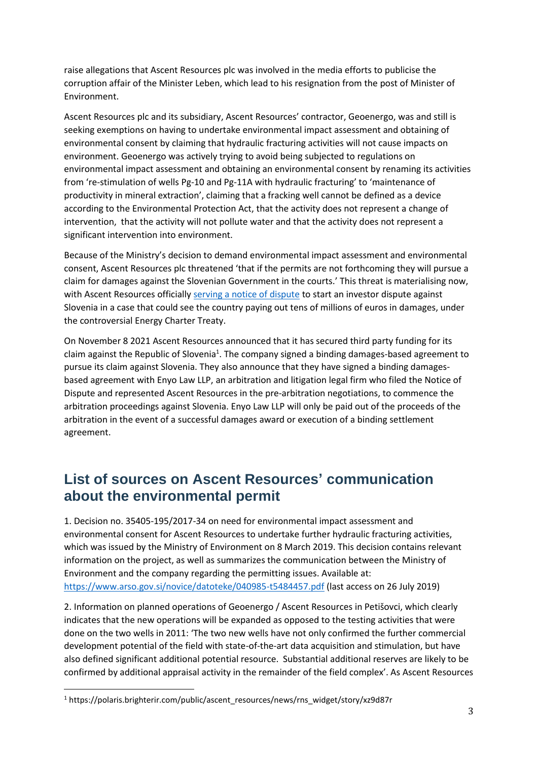raise allegations that Ascent Resources plc was involved in the media efforts to publicise the corruption affair of the Minister Leben, which lead to his resignation from the post of Minister of Environment.

Ascent Resources plc and its subsidiary, Ascent Resources' contractor, Geoenergo, was and still is seeking exemptions on having to undertake environmental impact assessment and obtaining of environmental consent by claiming that hydraulic fracturing activities will not cause impacts on environment. Geoenergo was actively trying to avoid being subjected to regulations on environmental impact assessment and obtaining an environmental consent by renaming its activities from 're-stimulation of wells Pg-10 and Pg-11A with hydraulic fracturing' to 'maintenance of productivity in mineral extraction', claiming that a fracking well cannot be defined as a device according to the Environmental Protection Act, that the activity does not represent a change of intervention, that the activity will not pollute water and that the activity does not represent a significant intervention into environment.

Because of the Ministry's decision to demand environmental impact assessment and environmental consent, Ascent Resources plc threatened 'that if the permits are not forthcoming they will pursue a claim for damages against the Slovenian Government in the courts.' This threat is materialising now, with Ascent Resources officially [serving a notice of dispute](https://www.ascentresources.co.uk/wp-content/uploads/2020/07/2020-07-24-Ascent-Notice-of-dispute-Government-of-Slovenia.pdf) to start an investor dispute against Slovenia in a case that could see the country paying out tens of millions of euros in damages, under the controversial Energy Charter Treaty.

On November 8 2021 Ascent Resources announced that it has secured third party funding for its claim against the Republic of Slovenia<sup>1</sup>. The company signed a binding damages-based agreement to pursue its claim against Slovenia. They also announce that they have signed a binding damagesbased agreement with Enyo Law LLP, an arbitration and litigation legal firm who filed the Notice of Dispute and represented Ascent Resources in the pre-arbitration negotiations, to commence the arbitration proceedings against Slovenia. Enyo Law LLP will only be paid out of the proceeds of the arbitration in the event of a successful damages award or execution of a binding settlement agreement.

## **List of sources on Ascent Resources' communication about the environmental permit**

1. Decision no. 35405-195/2017-34 on need for environmental impact assessment and environmental consent for Ascent Resources to undertake further hydraulic fracturing activities, which was issued by the Ministry of Environment on 8 March 2019. This decision contains relevant information on the project, as well as summarizes the communication between the Ministry of Environment and the company regarding the permitting issues. Available at: <https://www.arso.gov.si/novice/datoteke/040985-t5484457.pdf> (last access on 26 July 2019)

2. Information on planned operations of Geoenergo / Ascent Resources in Petišovci, which clearly indicates that the new operations will be expanded as opposed to the testing activities that were done on the two wells in 2011: 'The two new wells have not only confirmed the further commercial development potential of the field with state-of-the-art data acquisition and stimulation, but have also defined significant additional potential resource. Substantial additional reserves are likely to be confirmed by additional appraisal activity in the remainder of the field complex'. As Ascent Resources

<sup>1</sup> https://polaris.brighterir.com/public/ascent\_resources/news/rns\_widget/story/xz9d87r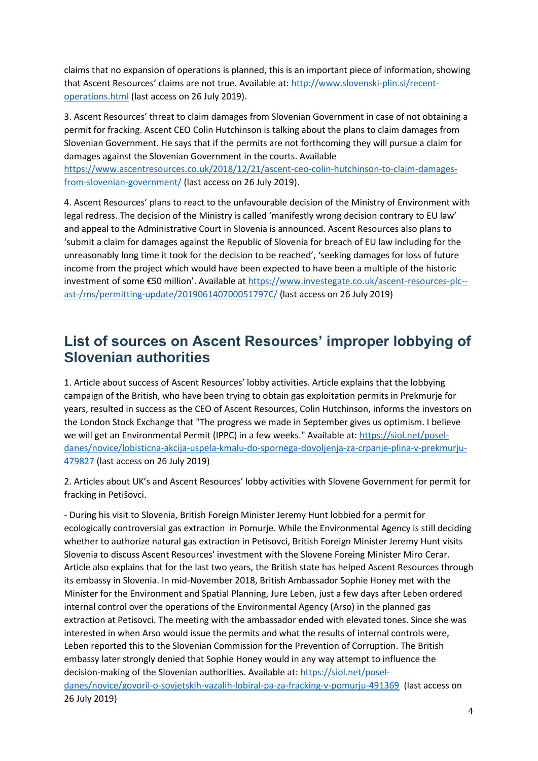claims that no expansion of operations is planned, this is an important piece of information, showing that Ascent Resources' claims are not true. Available at: [http://www.slovenski-plin.si/recent](http://www.slovenski-plin.si/recent-operations.html)[operations.html](http://www.slovenski-plin.si/recent-operations.html) (last access on 26 July 2019).

3. Ascent Resources' threat to claim damages from Slovenian Government in case of not obtaining a permit for fracking. Ascent CEO Colin Hutchinson is talking about the plans to claim damages from Slovenian Government. He says that if the permits are not forthcoming they will pursue a claim for damages against the Slovenian Government in the courts. Available

[https://www.ascentresources.co.uk/2018/12/21/ascent-ceo-colin-hutchinson-to-claim-damages](https://www.ascentresources.co.uk/2018/12/21/ascent-ceo-colin-hutchinson-to-claim-damages-from-slovenian-government/)[from-slovenian-government/](https://www.ascentresources.co.uk/2018/12/21/ascent-ceo-colin-hutchinson-to-claim-damages-from-slovenian-government/) (last access on 26 July 2019).

4. Ascent Resources' plans to react to the unfavourable decision of the Ministry of Environment with legal redress. The decision of the Ministry is called 'manifestly wrong decision contrary to EU law' and appeal to the Administrative Court in Slovenia is announced. Ascent Resources also plans to 'submit a claim for damages against the Republic of Slovenia for breach of EU law including for the unreasonably long time it took for the decision to be reached', 'seeking damages for loss of future income from the project which would have been expected to have been a multiple of the historic investment of some €50 million'. Available at [https://www.investegate.co.uk/ascent-resources-plc-](https://www.investegate.co.uk/ascent-resources-plc--ast-/rns/permitting-update/201906140700051797C/) [ast-/rns/permitting-update/201906140700051797C/](https://www.investegate.co.uk/ascent-resources-plc--ast-/rns/permitting-update/201906140700051797C/) (last access on 26 July 2019)

## **List of sources on Ascent Resources' improper lobbying of Slovenian authorities**

1. Article about success of Ascent Resources' lobby activities. Article explains that the lobbying campaign of the British, who have been trying to obtain gas exploitation permits in Prekmurje for years, resulted in success as the CEO of Ascent Resources, Colin Hutchinson, informs the investors on the London Stock Exchange that "The progress we made in September gives us optimism. I believe we will get an Environmental Permit (IPPC) in a few weeks." Available at: [https://siol.net/posel](https://siol.net/posel-danes/novice/lobisticna-akcija-uspela-kmalu-do-spornega-dovoljenja-za-crpanje-plina-v-prekmurju-479827)[danes/novice/lobisticna-akcija-uspela-kmalu-do-spornega-dovoljenja-za-crpanje-plina-v-prekmurju-](https://siol.net/posel-danes/novice/lobisticna-akcija-uspela-kmalu-do-spornega-dovoljenja-za-crpanje-plina-v-prekmurju-479827)[479827](https://siol.net/posel-danes/novice/lobisticna-akcija-uspela-kmalu-do-spornega-dovoljenja-za-crpanje-plina-v-prekmurju-479827) (last access on 26 July 2019)

2. Articles about UK's and Ascent Resources' lobby activities with Slovene Government for permit for fracking in Petišovci.

- During his visit to Slovenia, British Foreign Minister Jeremy Hunt lobbied for a permit for ecologically controversial gas extraction in Pomurje. While the Environmental Agency is still deciding whether to authorize natural gas extraction in Petisovci, British Foreign Minister Jeremy Hunt visits Slovenia to discuss Ascent Resources' investment with the Slovene Foreing Minister Miro Cerar. Article also explains that for the last two years, the British state has helped Ascent Resources through its embassy in Slovenia. In mid-November 2018, British Ambassador Sophie Honey met with the Minister for the Environment and Spatial Planning, Jure Leben, just a few days after Leben ordered internal control over the operations of the Environmental Agency (Arso) in the planned gas extraction at Petisovci. The meeting with the ambassador ended with elevated tones. Since she was interested in when Arso would issue the permits and what the results of internal controls were, Leben reported this to the Slovenian Commission for the Prevention of Corruption. The British embassy later strongly denied that Sophie Honey would in any way attempt to influence the decision-making of the Slovenian authorities. Available at: [https://siol.net/posel](https://siol.net/posel-danes/novice/govoril-o-sovjetskih-vazalih-lobiral-pa-za-fracking-v-pomurju-491369)[danes/novice/govoril-o-sovjetskih-vazalih-lobiral-pa-za-fracking-v-pomurju-491369](https://siol.net/posel-danes/novice/govoril-o-sovjetskih-vazalih-lobiral-pa-za-fracking-v-pomurju-491369) (last access on 26 July 2019)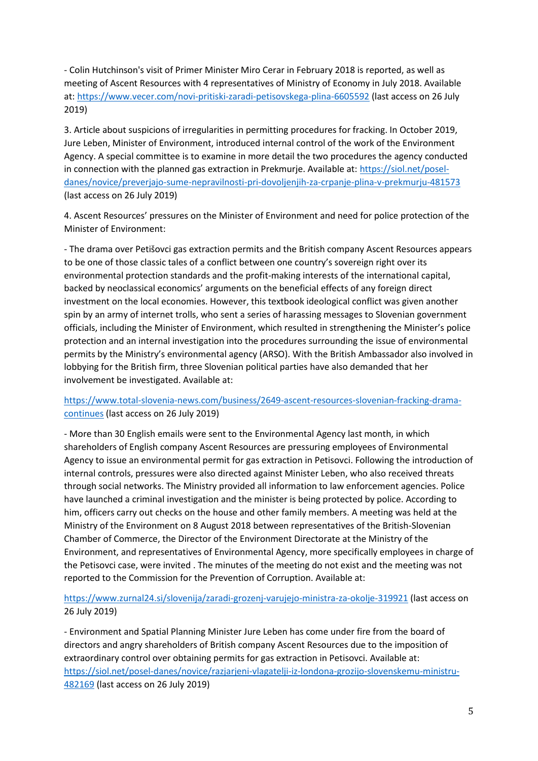- Colin Hutchinson's visit of Primer Minister Miro Cerar in February 2018 is reported, as well as meeting of Ascent Resources with 4 representatives of Ministry of Economy in July 2018. Available at:<https://www.vecer.com/novi-pritiski-zaradi-petisovskega-plina-6605592> (last access on 26 July 2019)

3. Article about suspicions of irregularities in permitting procedures for fracking. In October 2019, Jure Leben, Minister of Environment, introduced internal control of the work of the Environment Agency. A special committee is to examine in more detail the two procedures the agency conducted in connection with the planned gas extraction in Prekmurje. Available at: [https://siol.net/posel](https://siol.net/posel-danes/novice/preverjajo-sume-nepravilnosti-pri-dovoljenjih-za-crpanje-plina-v-prekmurju-481573)[danes/novice/preverjajo-sume-nepravilnosti-pri-dovoljenjih-za-crpanje-plina-v-prekmurju-481573](https://siol.net/posel-danes/novice/preverjajo-sume-nepravilnosti-pri-dovoljenjih-za-crpanje-plina-v-prekmurju-481573) (last access on 26 July 2019)

4. Ascent Resources' pressures on the Minister of Environment and need for police protection of the Minister of Environment:

- The drama over Petišovci gas extraction permits and the British company Ascent Resources appears to be one of those classic tales of a conflict between one country's sovereign right over its environmental protection standards and the profit-making interests of the international capital, backed by neoclassical economics' arguments on the beneficial effects of any foreign direct investment on the local economies. However, this textbook ideological conflict was given another spin by an army of internet trolls, who sent a series of harassing messages to Slovenian government officials, including the Minister of Environment, which resulted in strengthening the Minister's police protection and an internal investigation into the procedures surrounding the issue of environmental permits by the Ministry's environmental agency (ARSO). With the British Ambassador also involved in lobbying for the British firm, three Slovenian political parties have also demanded that her involvement be investigated. Available at:

#### [https://www.total-slovenia-news.com/business/2649-ascent-resources-slovenian-fracking-drama](https://www.total-slovenia-news.com/business/2649-ascent-resources-slovenian-fracking-drama-continues)[continues](https://www.total-slovenia-news.com/business/2649-ascent-resources-slovenian-fracking-drama-continues) (last access on 26 July 2019)

- More than 30 English emails were sent to the Environmental Agency last month, in which shareholders of English company Ascent Resources are pressuring employees of Environmental Agency to issue an environmental permit for gas extraction in Petisovci. Following the introduction of internal controls, pressures were also directed against Minister Leben, who also received threats through social networks. The Ministry provided all information to law enforcement agencies. Police have launched a criminal investigation and the minister is being protected by police. According to him, officers carry out checks on the house and other family members. A meeting was held at the Ministry of the Environment on 8 August 2018 between representatives of the British-Slovenian Chamber of Commerce, the Director of the Environment Directorate at the Ministry of the Environment, and representatives of Environmental Agency, more specifically employees in charge of the Petisovci case, were invited . The minutes of the meeting do not exist and the meeting was not reported to the Commission for the Prevention of Corruption. Available at:

### <https://www.zurnal24.si/slovenija/zaradi-grozenj-varujejo-ministra-za-okolje-319921> (last access on 26 July 2019)

- Environment and Spatial Planning Minister Jure Leben has come under fire from the board of directors and angry shareholders of British company Ascent Resources due to the imposition of extraordinary control over obtaining permits for gas extraction in Petisovci. Available at: [https://siol.net/posel-danes/novice/razjarjeni-vlagatelji-iz-londona-grozijo-slovenskemu-ministru-](https://siol.net/posel-danes/novice/razjarjeni-vlagatelji-iz-londona-grozijo-slovenskemu-ministru-482169)[482169](https://siol.net/posel-danes/novice/razjarjeni-vlagatelji-iz-londona-grozijo-slovenskemu-ministru-482169) (last access on 26 July 2019)